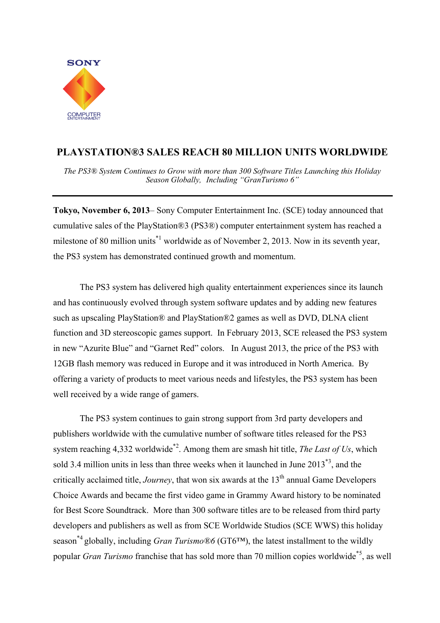

## **PLAYSTATION®3 SALES REACH 80 MILLION UNITS WORLDWIDE**

*The PS3® System Continues to Grow with more than 300 Software Titles Launching this Holiday Season Globally, Including "GranTurismo 6"* 

**Tokyo, November 6, 2013**– Sony Computer Entertainment Inc. (SCE) today announced that cumulative sales of the PlayStation®3 (PS3®) computer entertainment system has reached a milestone of 80 million units<sup> $*1$ </sup> worldwide as of November 2, 2013. Now in its seventh year, the PS3 system has demonstrated continued growth and momentum.

The PS3 system has delivered high quality entertainment experiences since its launch and has continuously evolved through system software updates and by adding new features such as upscaling PlayStation® and PlayStation®2 games as well as DVD, DLNA client function and 3D stereoscopic games support. In February 2013, SCE released the PS3 system in new "Azurite Blue" and "Garnet Red" colors. In August 2013, the price of the PS3 with 12GB flash memory was reduced in Europe and it was introduced in North America. By offering a variety of products to meet various needs and lifestyles, the PS3 system has been well received by a wide range of gamers.

The PS3 system continues to gain strong support from 3rd party developers and publishers worldwide with the cumulative number of software titles released for the PS3 system reaching 4,332 worldwide\*2. Among them are smash hit title, *The Last of Us*, which sold 3.4 million units in less than three weeks when it launched in June 2013\*3, and the critically acclaimed title, *Journey*, that won six awards at the 13<sup>th</sup> annual Game Developers Choice Awards and became the first video game in Grammy Award history to be nominated for Best Score Soundtrack. More than 300 software titles are to be released from third party developers and publishers as well as from SCE Worldwide Studios (SCE WWS) this holiday season\*4 globally, including *Gran Turismo®6* (GT6™), the latest installment to the wildly popular *Gran Turismo* franchise that has sold more than 70 million copies worldwide\*5, as well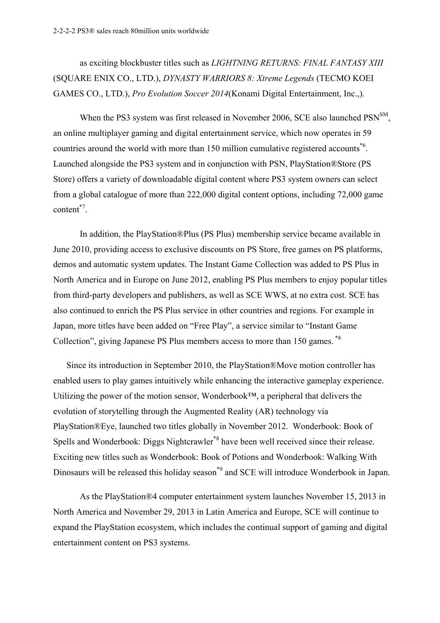as exciting blockbuster titles such as *LIGHTNING RETURNS: FINAL FANTASY XIII* (SQUARE ENIX CO., LTD.), *DYNASTY WARRIORS 8: Xtreme Legends* (TECMO KOEI GAMES CO., LTD.), *Pro Evolution Soccer 2014*(Konami Digital Entertainment, Inc.,).

When the PS3 system was first released in November 2006, SCE also launched PSN<sup>SM</sup>, an online multiplayer gaming and digital entertainment service, which now operates in 59 countries around the world with more than 150 million cumulative registered accounts<sup>\*6</sup>. Launched alongside the PS3 system and in conjunction with PSN, PlayStation®Store (PS Store) offers a variety of downloadable digital content where PS3 system owners can select from a global catalogue of more than 222,000 digital content options, including 72,000 game content\*7.

In addition, the PlayStation®Plus (PS Plus) membership service became available in June 2010, providing access to exclusive discounts on PS Store, free games on PS platforms, demos and automatic system updates. The Instant Game Collection was added to PS Plus in North America and in Europe on June 2012, enabling PS Plus members to enjoy popular titles from third-party developers and publishers, as well as SCE WWS, at no extra cost. SCE has also continued to enrich the PS Plus service in other countries and regions. For example in Japan, more titles have been added on "Free Play", a service similar to "Instant Game Collection", giving Japanese PS Plus members access to more than 150 games. \*8

Since its introduction in September 2010, the PlayStation®Move motion controller has enabled users to play games intuitively while enhancing the interactive gameplay experience. Utilizing the power of the motion sensor, Wonderbook™, a peripheral that delivers the evolution of storytelling through the Augmented Reality (AR) technology via PlayStation®Eye, launched two titles globally in November 2012. Wonderbook: Book of Spells and Wonderbook: Diggs Nightcrawler\*8 have been well received since their release. Exciting new titles such as Wonderbook: Book of Potions and Wonderbook: Walking With Dinosaurs will be released this holiday season<sup>\*9</sup> and SCE will introduce Wonderbook in Japan.

As the PlayStation®4 computer entertainment system launches November 15, 2013 in North America and November 29, 2013 in Latin America and Europe, SCE will continue to expand the PlayStation ecosystem, which includes the continual support of gaming and digital entertainment content on PS3 systems.